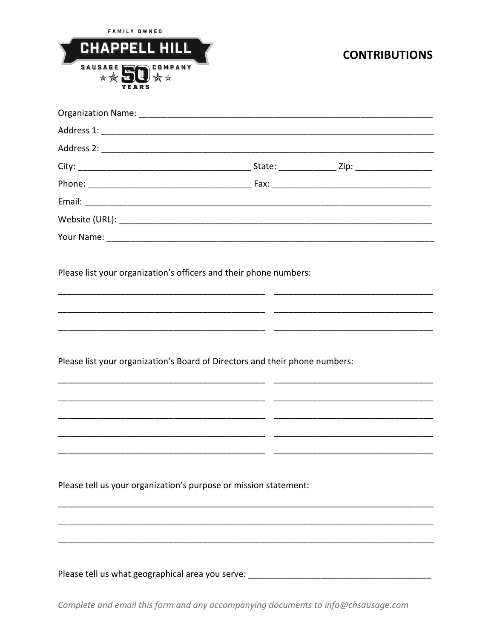| <b>FAMILY OWNED</b><br><b>CHAPPELL HILL</b><br><b>SAUSAGE</b><br><b>COMPANY</b>  | <b>CONTRIBUTIONS</b> |
|----------------------------------------------------------------------------------|----------------------|
|                                                                                  |                      |
|                                                                                  |                      |
|                                                                                  |                      |
|                                                                                  |                      |
|                                                                                  |                      |
|                                                                                  |                      |
|                                                                                  |                      |
|                                                                                  |                      |
| Please list your organization's Board of Directors and their phone numbers:      |                      |
|                                                                                  |                      |
|                                                                                  |                      |
| Please tell us your organization's purpose or mission statement:                 |                      |
|                                                                                  |                      |
|                                                                                  |                      |
| Please tell us what geographical area you serve: _______________________________ |                      |

Complete and email this form and any accompanying documents to info@chsausage.com